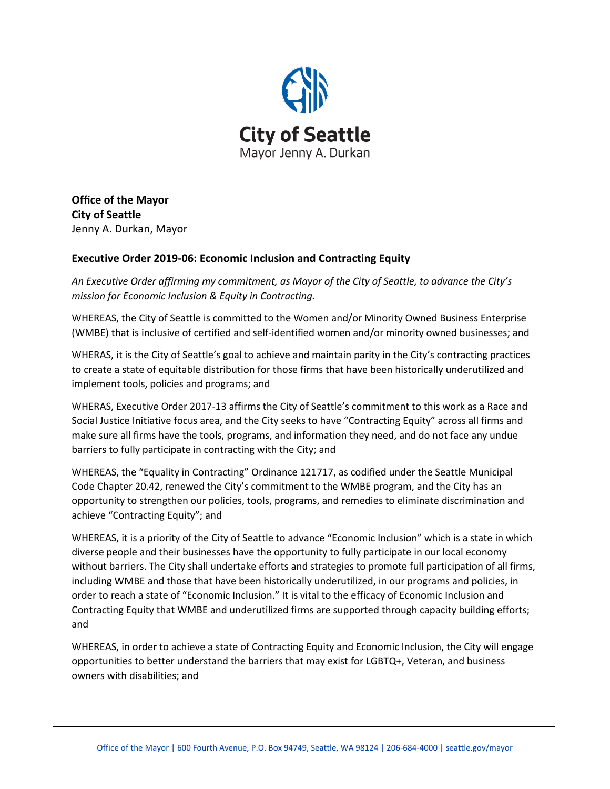

**Office of the Mayor City of Seattle** Jenny A. Durkan, Mayor

## **Executive Order 2019-06: Economic Inclusion and Contracting Equity**

*An Executive Order affirming my commitment, as Mayor of the City of Seattle, to advance the City's mission for Economic Inclusion & Equity in Contracting.* 

WHEREAS, the City of Seattle is committed to the Women and/or Minority Owned Business Enterprise (WMBE) that is inclusive of certified and self-identified women and/or minority owned businesses; and

WHERAS, it is the City of Seattle's goal to achieve and maintain parity in the City's contracting practices to create a state of equitable distribution for those firms that have been historically underutilized and implement tools, policies and programs; and

WHERAS, Executive Order 2017-13 affirms the City of Seattle's commitment to this work as a Race and Social Justice Initiative focus area, and the City seeks to have "Contracting Equity" across all firms and make sure all firms have the tools, programs, and information they need, and do not face any undue barriers to fully participate in contracting with the City; and

WHEREAS, the "Equality in Contracting" Ordinance 121717, as codified under the Seattle Municipal Code Chapter 20.42, renewed the City's commitment to the WMBE program, and the City has an opportunity to strengthen our policies, tools, programs, and remedies to eliminate discrimination and achieve "Contracting Equity"; and

WHEREAS, it is a priority of the City of Seattle to advance "Economic Inclusion" which is a state in which diverse people and their businesses have the opportunity to fully participate in our local economy without barriers. The City shall undertake efforts and strategies to promote full participation of all firms, including WMBE and those that have been historically underutilized, in our programs and policies, in order to reach a state of "Economic Inclusion." It is vital to the efficacy of Economic Inclusion and Contracting Equity that WMBE and underutilized firms are supported through capacity building efforts; and

WHEREAS, in order to achieve a state of Contracting Equity and Economic Inclusion, the City will engage opportunities to better understand the barriers that may exist for LGBTQ+, Veteran, and business owners with disabilities; and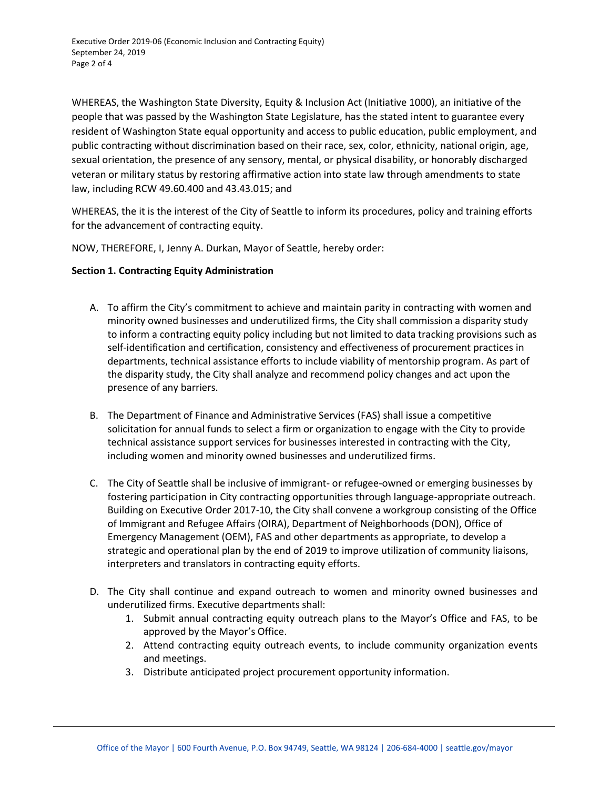Executive Order 2019-06 (Economic Inclusion and Contracting Equity) September 24, 2019 Page 2 of 4

WHEREAS, the Washington State Diversity, Equity & Inclusion Act (Initiative 1000), an initiative of the people that was passed by the Washington State Legislature, has the stated intent to guarantee every resident of Washington State equal opportunity and access to public education, public employment, and public contracting without discrimination based on their race, sex, color, ethnicity, national origin, age, sexual orientation, the presence of any sensory, mental, or physical disability, or honorably discharged veteran or military status by restoring affirmative action into state law through amendments to state law, including RCW 49.60.400 and 43.43.015; and

WHEREAS, the it is the interest of the City of Seattle to inform its procedures, policy and training efforts for the advancement of contracting equity.

NOW, THEREFORE, I, Jenny A. Durkan, Mayor of Seattle, hereby order:

## **Section 1. Contracting Equity Administration**

- A. To affirm the City's commitment to achieve and maintain parity in contracting with women and minority owned businesses and underutilized firms, the City shall commission a disparity study to inform a contracting equity policy including but not limited to data tracking provisions such as self-identification and certification, consistency and effectiveness of procurement practices in departments, technical assistance efforts to include viability of mentorship program. As part of the disparity study, the City shall analyze and recommend policy changes and act upon the presence of any barriers.
- B. The Department of Finance and Administrative Services (FAS) shall issue a competitive solicitation for annual funds to select a firm or organization to engage with the City to provide technical assistance support services for businesses interested in contracting with the City, including women and minority owned businesses and underutilized firms.
- C. The City of Seattle shall be inclusive of immigrant- or refugee-owned or emerging businesses by fostering participation in City contracting opportunities through language-appropriate outreach**.**  Building on Executive Order 2017-10, the City shall convene a workgroup consisting of the Office of Immigrant and Refugee Affairs (OIRA), Department of Neighborhoods (DON), Office of Emergency Management (OEM), FAS and other departments as appropriate, to develop a strategic and operational plan by the end of 2019 to improve utilization of community liaisons, interpreters and translators in contracting equity efforts.
- D. The City shall continue and expand outreach to women and minority owned businesses and underutilized firms. Executive departments shall:
	- 1. Submit annual contracting equity outreach plans to the Mayor's Office and FAS, to be approved by the Mayor's Office.
	- 2. Attend contracting equity outreach events, to include community organization events and meetings.
	- 3. Distribute anticipated project procurement opportunity information.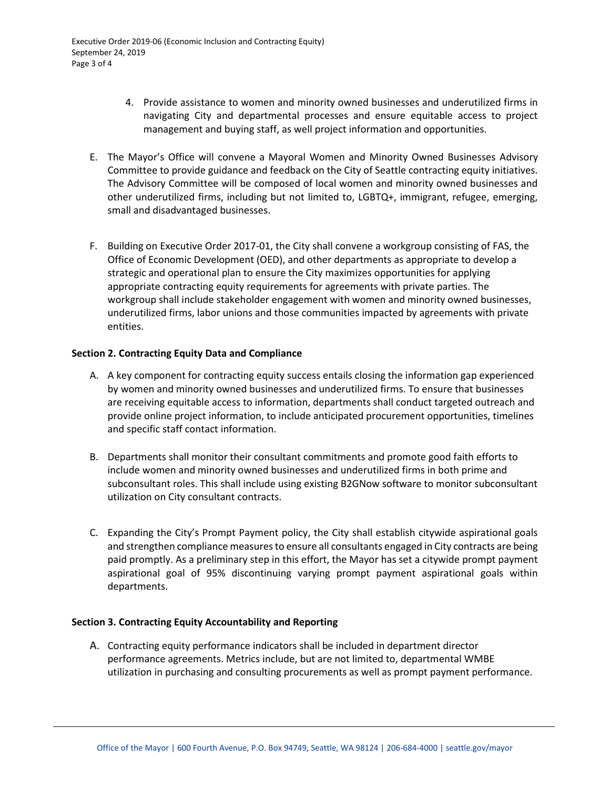- 4. Provide assistance to women and minority owned businesses and underutilized firms in navigating City and departmental processes and ensure equitable access to project management and buying staff, as well project information and opportunities.
- E. The Mayor's Office will convene a Mayoral Women and Minority Owned Businesses Advisory Committee to provide guidance and feedback on the City of Seattle contracting equity initiatives. The Advisory Committee will be composed of local women and minority owned businesses and other underutilized firms, including but not limited to, LGBTQ+, immigrant, refugee, emerging, small and disadvantaged businesses.
- F. Building on Executive Order 2017-01, the City shall convene a workgroup consisting of FAS, the Office of Economic Development (OED), and other departments as appropriate to develop a strategic and operational plan to ensure the City maximizes opportunities for applying appropriate contracting equity requirements for agreements with private parties. The workgroup shall include stakeholder engagement with women and minority owned businesses, underutilized firms, labor unions and those communities impacted by agreements with private entities.

## **Section 2. Contracting Equity Data and Compliance**

- A. A key component for contracting equity success entails closing the information gap experienced by women and minority owned businesses and underutilized firms. To ensure that businesses are receiving equitable access to information, departments shall conduct targeted outreach and provide online project information, to include anticipated procurement opportunities, timelines and specific staff contact information.
- B. Departments shall monitor their consultant commitments and promote good faith efforts to include women and minority owned businesses and underutilized firms in both prime and subconsultant roles. This shall include using existing B2GNow software to monitor subconsultant utilization on City consultant contracts.
- C. Expanding the City's Prompt Payment policy, the City shall establish citywide aspirational goals and strengthen compliance measures to ensure all consultants engaged in City contracts are being paid promptly. As a preliminary step in this effort, the Mayor has set a citywide prompt payment aspirational goal of 95% discontinuing varying prompt payment aspirational goals within departments.

## **Section 3. Contracting Equity Accountability and Reporting**

A. Contracting equity performance indicators shall be included in department director performance agreements. Metrics include, but are not limited to, departmental WMBE utilization in purchasing and consulting procurements as well as prompt payment performance.